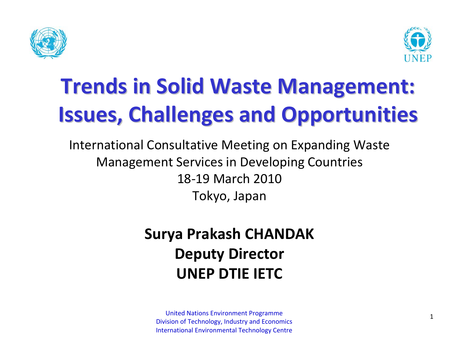



# **Trends in Solid Waste Management: Issues, Challenges and Opportunities**

International Consultative Meeting on Expanding Waste Management Services in Developing Countries 18‐19 March 2010 Tokyo, Japan

#### **Surya Prakash CHANDAK Deputy Director UNEP DTIE IETC**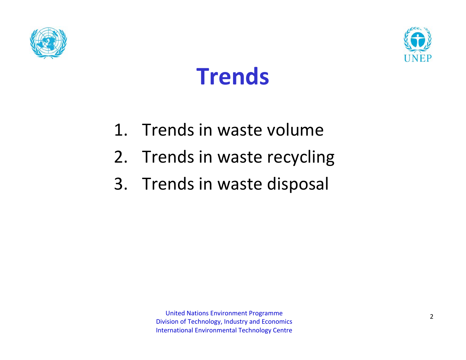





- 1. Trends in waste volume
- 2. Trends in waste recycling
- 3. Trends in waste disposal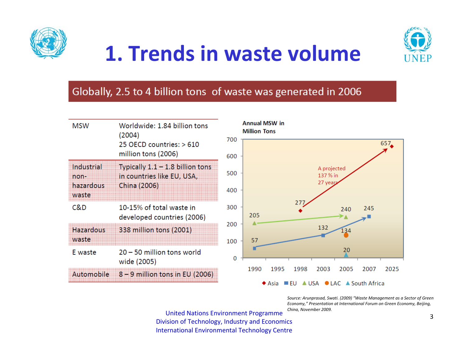

### **1. Trends in waste volume**



#### Globally, 2.5 to 4 billion tons of waste was generated in 2006

| <b>MSW</b>                | Worldwide: 1.84 billion tons<br>(2004)<br>25 OECD countries: > 610<br>million tons (2006) | <b>Annual MSW in</b><br><b>Million Tons</b><br>700                                                         |     |  |  |  |
|---------------------------|-------------------------------------------------------------------------------------------|------------------------------------------------------------------------------------------------------------|-----|--|--|--|
|                           |                                                                                           | 600                                                                                                        | 657 |  |  |  |
| Industrial<br>non-        | Typically $1.1 - 1.8$ billion tons<br>in countries like EU, USA,                          | A projected<br>500<br>137 % in                                                                             |     |  |  |  |
| hazardous<br>waste        | China (2006)                                                                              | 27 year<br>400                                                                                             |     |  |  |  |
| C&D                       | 10-15% of total waste in<br>developed countries (2006)                                    | 277<br>300<br>245<br>240<br>205                                                                            |     |  |  |  |
| <b>Hazardous</b><br>waste | 338 million tons (2001)                                                                   | 200<br>132<br>134<br>57<br>100                                                                             |     |  |  |  |
| E waste                   | 20 - 50 million tons world<br>wide (2005)                                                 | 20<br>0                                                                                                    |     |  |  |  |
| Automobile                | $8 - 9$ million tons in EU (2006)                                                         | 1990<br>2005<br>1995<br>1998<br>2003<br>2007<br>▲ USA ● LAC ▲ South Africa<br>$\blacklozenge$ Asia<br>⊟ EU | 20  |  |  |  |

*Source: Arunprasad, Swati. (2009) "Waste Management as <sup>a</sup> Sector of Green Economy," Presentation at International Forum on Green Economy, Beijing, China, November 2009.*

2025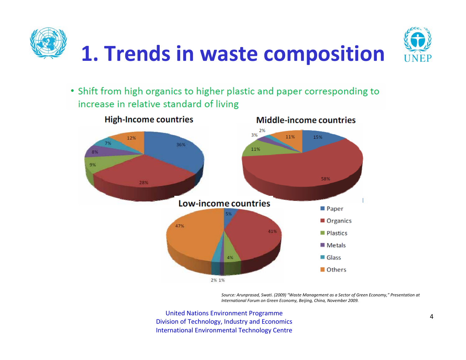

• Shift from high organics to higher plastic and paper corresponding to increase in relative standard of living



*Source: Arunprasad, Swati. (2009) "Waste Management as <sup>a</sup> Sector of Green Economy," Presentation at International Forum on Green Economy, Beijing, China, November 2009.*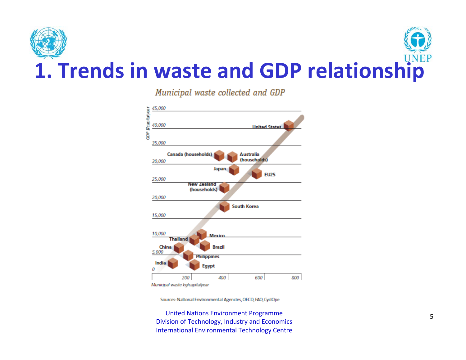

Municipal waste collected and GDP



Municipal waste kg/capitalyear

Sources: National Environmental Agencies, OECD, FAO, CyclOpe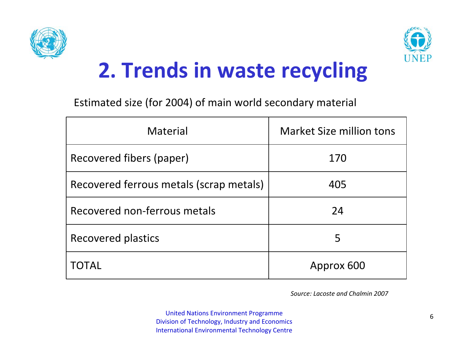



Estimated size (for 2004) of main world secondary material

| Material                                | <b>Market Size million tons</b> |  |  |  |
|-----------------------------------------|---------------------------------|--|--|--|
| Recovered fibers (paper)                | 170                             |  |  |  |
| Recovered ferrous metals (scrap metals) | 405                             |  |  |  |
| Recovered non-ferrous metals            | 24                              |  |  |  |
| Recovered plastics                      | 5                               |  |  |  |
| TOTAL                                   | Approx 600                      |  |  |  |

*Source: Lacoste and Chalmin 2007*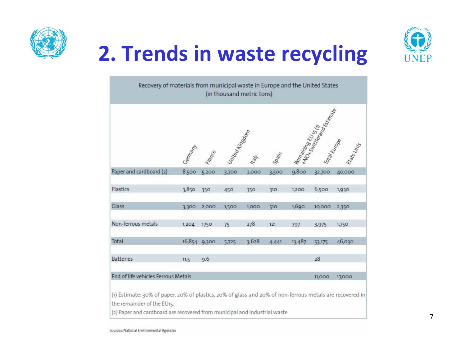



| Recovery of materials from municipal waste in Europe and the United States                                                             |         |              |                | (in thousand metric tons) |                           |        |                         |              |
|----------------------------------------------------------------------------------------------------------------------------------------|---------|--------------|----------------|---------------------------|---------------------------|--------|-------------------------|--------------|
|                                                                                                                                        | Gemanis | ance         | United Hingdom |                           | $S_{\partial \partial f}$ |        | Remaining R.U. Maria R. | Galician Rea |
| Paper and cardboard (2)                                                                                                                | 8,500   | 5,200        | 3.700          | 2,000                     | 3,500                     | 9,800  | 32,700                  | 40,000       |
| Plastics                                                                                                                               | 3,850   | 350          | 450            | 350                       | 310                       | 1,200  | 6,500                   | 1,930        |
| Glass                                                                                                                                  | 3,300   | 2,000        | 1,500          | 1,000                     | 510                       | 1,690  | 10,000                  | 2,350        |
| Non-ferrous metals                                                                                                                     | 1,204   | 1750         | 75             | 278                       | 121                       | 797    | 3,975                   | 1,750        |
| Total                                                                                                                                  |         | 16,854 9,300 | 5,725          | 3,628                     | 4,441                     | 13,487 | 53,175                  | 46,030       |
| <b>Batteries</b>                                                                                                                       | 11.5    | 9.6          |                |                           |                           |        | 28                      |              |
| End of life vehicles Ferrous Metals                                                                                                    |         |              |                |                           |                           |        | 11,000                  | 17,000       |
| (1) Estimate: 30% of paper, 20% of plastics, 20% of glass and 20% of non-ferrous metals are recovered in<br>the remainder of the EU15. |         |              |                |                           |                           |        |                         |              |

l are recovered from municipal and industrial was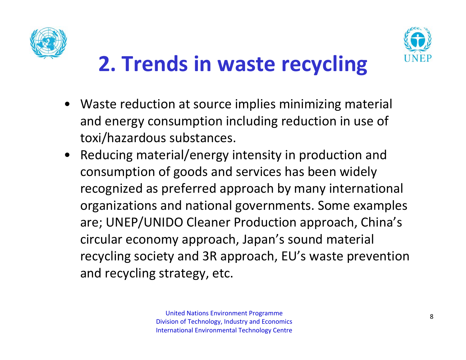



- Waste reduction at source implies minimizing material and energy consumption including reduction in use of toxi/hazardous substances.
- $\bullet$  Reducing material/energy intensity in production and consumption of goods and services has been widely recognized as preferred approach by many international organizations and national governments. Some examples are; UNEP/UNIDO Cleaner Production approach, China's circular economy approach, Japan's sound material recycling society and 3R approach, EU's waste prevention and recycling strategy, etc.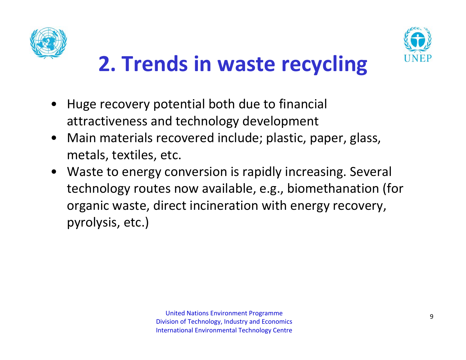



- • Huge recovery potential both due to financial attractiveness and technology development
- $\bullet$  Main materials recovered include; plastic, paper, glass, metals, textiles, etc.
- $\bullet$  Waste to energy conversion is rapidly increasing. Several technology routes now available, e.g., biomethanation (for organic waste, direct incineration with energy recovery, pyrolysis, etc.)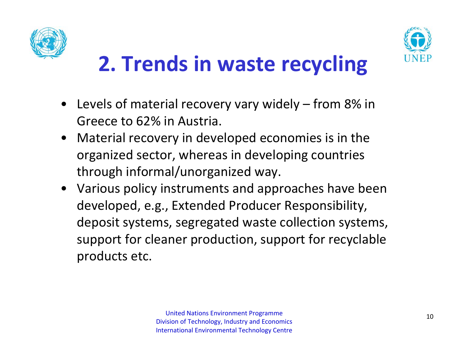



- • Levels of material recovery vary widely – from 8% in Greece to 62% in Austria.
- $\bullet$  Material recovery in developed economies is in the organized sector, whereas in developing countries through informal/unorganized way.
- Various policy instruments and approaches have been developed, e.g., Extended Producer Responsibility, deposit systems, segregated waste collection systems, support for cleaner production, support for recyclable products etc.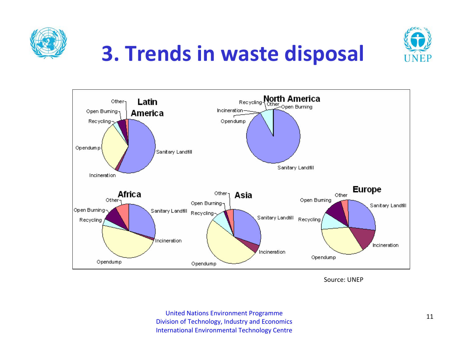



## **3. Trends in waste disposal**



Source: UNEP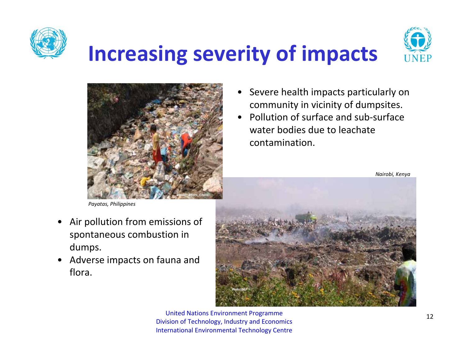

### **Increasing severity of impacts**





- *Payatas, Philippines*
- • Air pollution from emissions of spontaneous combustion in dumps.
- • Adverse impacts on fauna and flora.
- • Severe health impacts particularly on community in vicinity of dumpsites.
- • Pollution of surface and sub‐surface water bodies due to leachate contamination.

*Nairobi, Kenya*

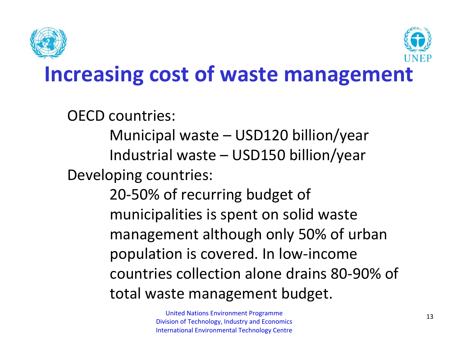



### **Increasing cost of waste management**

OECD countries:

Municipal waste – USD120 billion/year Industrial waste – USD150 billion/year Developing countries:

> 20‐50% of recurring budget of municipalities is spent on solid waste management although only 50% of urban population is covered. In low‐income countries collection alone drains 80‐90% of total waste management budget.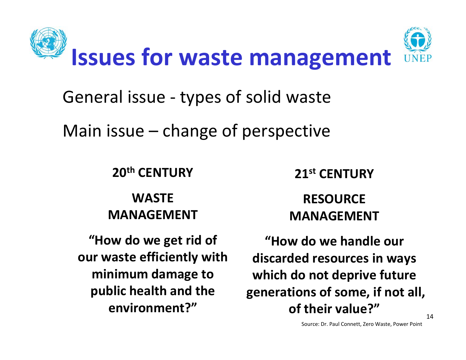

General issue ‐ types of solid waste

Main issue – change of perspective

**20th CENTURY**

**WASTEMANAGEMENT**

United**environment?"** Nations Environment Programme **"How do we get rid of our waste efficiently with minimum damage to public health and the**

**21st CENTURY**

#### **RESOURCEMANAGEMENT**

**"How do we handle our discarded resources in ways which do not deprive future generations of some, if not all, of their value?"**

Source: Dr. Paul Connett, Zero Waste, Power Point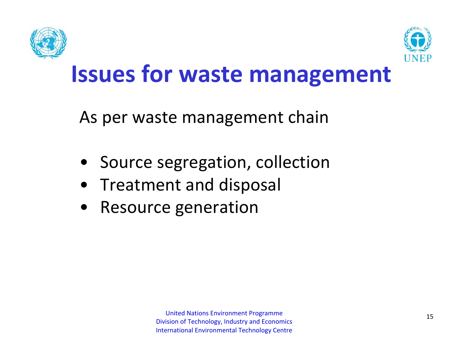



### **Issues for waste management**

As per waste management chain

- Source segregation, collection
- Treatment and disposal
- •Resource generation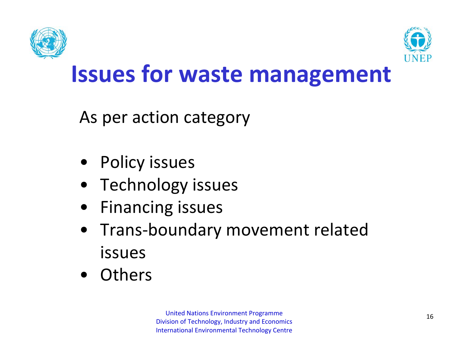



### **Issues for waste management**

As per action category

- •Policy issues
- Technology issues
- Financing issues
- • Trans‐boundary movement related issues
- Others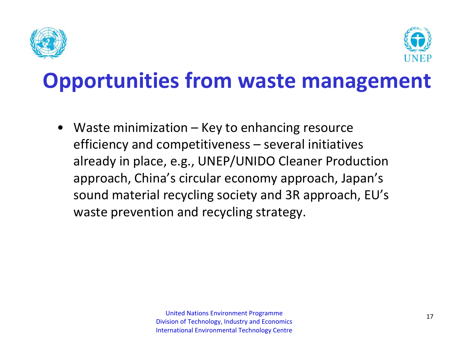



### **Opportunities from waste management**

• Waste minimization – Key to enhancing resource efficiency and competitiveness – several initiatives already in place, e.g., UNEP/UNIDO Cleaner Production approach, China's circular economy approach, Japan's sound material recycling society and 3R approach, EU's waste prevention and recycling strategy.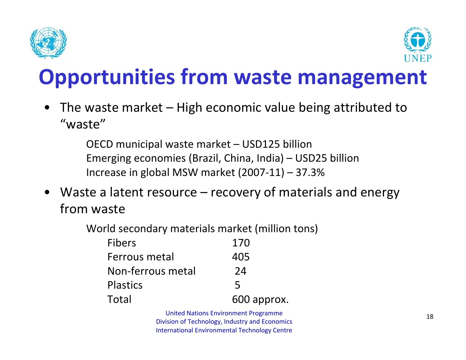



### **Opportunities from waste management**

• The waste market – High economic value being attributed to "waste"

> OECD municipal waste market – USD125 billion Emerging economies (Brazil, China, India) – USD25 billion Increase in global MSW market (2007‐11) – 37.3%

 $\bullet$  Waste <sup>a</sup> latent resource – recovery of materials and energy from waste

| World secondary materials market (million tons) |             |
|-------------------------------------------------|-------------|
| <b>Fibers</b>                                   | 170         |
| Ferrous metal                                   | 405         |
| Non-ferrous metal                               | 24          |
| <b>Plastics</b>                                 | 5           |
| Total                                           | 600 approx. |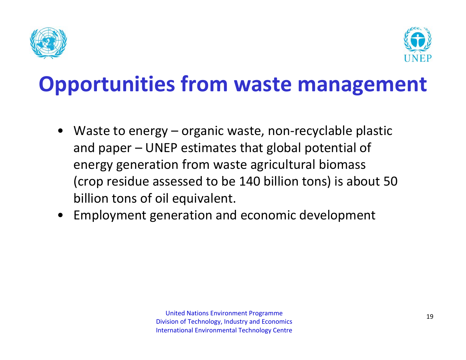



### **Opportunities from waste management**

- Waste to energy organic waste, non‐recyclable plastic and paper – UNEP estimates that global potential of energy generation from waste agricultural biomass (crop residue assessed to be 140 billion tons) is about 50 billion tons of oil equivalent.
- $\bullet$ Employment generation and economic development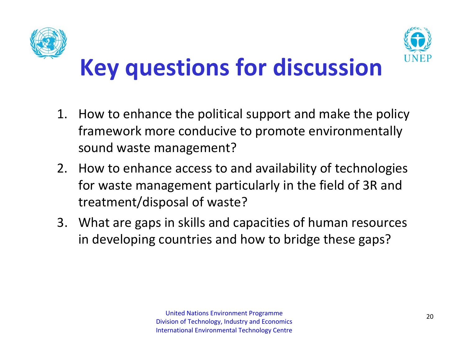



# **Key questions for discussion**

- 1. How to enhance the political support and make the policy framework more conducive to promote environmentally sound waste management?
- 2. How to enhance access to and availability of technologies for waste management particularly in the field of 3R and treatment/disposal of waste?
- 3. What are gaps in skills and capacities of human resources in developing countries and how to bridge these gaps?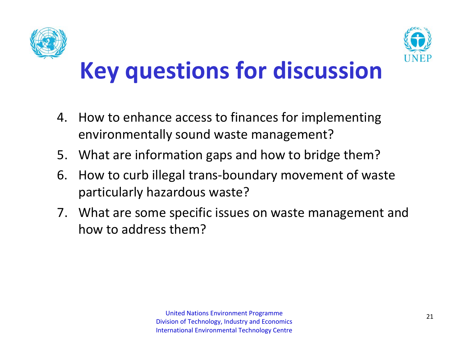



# **Key questions for discussion**

- 4. How to enhance access to finances for implementing environmentally sound waste management?
- 5. What are information gaps and how to bridge them?
- 6. How to curb illegal trans‐boundary movement of waste particularly hazardous waste?
- 7. What are some specific issues on waste management and how to address them?